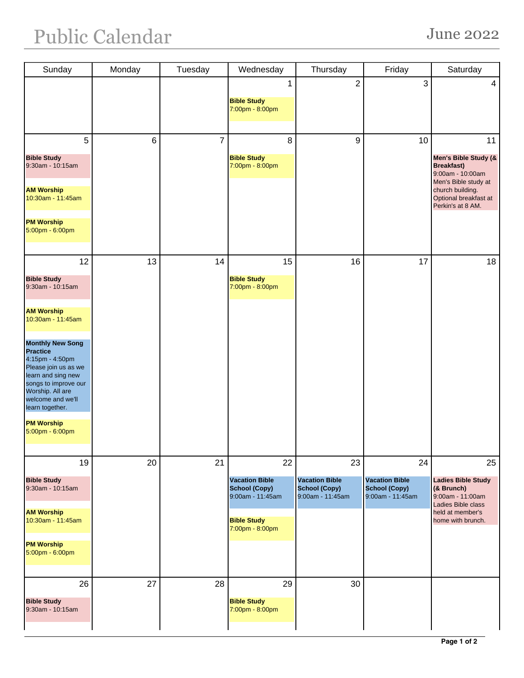| Sunday                                                                                                                                                                                          | Monday | Tuesday | Wednesday                                                                                                        | Thursday                                                         | Friday                                                                  | Saturday                                                                                                                                                      |
|-------------------------------------------------------------------------------------------------------------------------------------------------------------------------------------------------|--------|---------|------------------------------------------------------------------------------------------------------------------|------------------------------------------------------------------|-------------------------------------------------------------------------|---------------------------------------------------------------------------------------------------------------------------------------------------------------|
|                                                                                                                                                                                                 |        |         | <b>Bible Study</b><br>7:00pm - 8:00pm                                                                            | $\mathbf 2$                                                      | 3                                                                       | 4                                                                                                                                                             |
| 5<br><b>Bible Study</b><br>9:30am - 10:15am<br><b>AM Worship</b><br>10:30am - 11:45am<br><b>PM Worship</b><br>5:00pm - 6:00pm                                                                   | 6      | 7       | 8<br><b>Bible Study</b><br>7:00pm - 8:00pm                                                                       | 9                                                                | 10                                                                      | 11<br>Men's Bible Study (&<br><b>Breakfast)</b><br>9:00am - 10:00am<br>Men's Bible study at<br>church building.<br>Optional breakfast at<br>Perkin's at 8 AM. |
| 12<br><b>Bible Study</b><br>9:30am - 10:15am<br><b>AM Worship</b><br>10:30am - 11:45am                                                                                                          | 13     | 14      | 15<br><b>Bible Study</b><br>7:00pm - 8:00pm                                                                      | 16                                                               | 17                                                                      | 18                                                                                                                                                            |
| <b>Monthly New Song</b><br><b>Practice</b><br>4:15pm - 4:50pm<br>Please join us as we<br>learn and sing new<br>songs to improve our<br>Worship. All are<br>welcome and we'll<br>learn together. |        |         |                                                                                                                  |                                                                  |                                                                         |                                                                                                                                                               |
| <b>PM Worship</b><br>5:00pm - 6:00pm                                                                                                                                                            |        |         |                                                                                                                  |                                                                  |                                                                         |                                                                                                                                                               |
| 19<br><b>Bible Study</b><br>9:30am - 10:15am<br><b>AM Worship</b><br>10:30am - 11:45am<br><b>PM Worship</b><br>5:00pm - 6:00pm                                                                  | 20     | 21      | 22<br><b>Vacation Bible</b><br><b>School (Copy)</b><br>9:00am - 11:45am<br><b>Bible Study</b><br>7:00pm - 8:00pm | 23<br><b>Vacation Bible</b><br>School (Copy)<br>9:00am - 11:45am | 24<br><b>Vacation Bible</b><br><b>School (Copy)</b><br>9:00am - 11:45am | 25<br><b>Ladies Bible Study</b><br>(& Brunch)<br>9:00am - 11:00am<br><b>Ladies Bible class</b><br>held at member's<br>home with brunch.                       |
| 26<br><b>Bible Study</b><br>9:30am - 10:15am                                                                                                                                                    | 27     | 28      | 29<br><b>Bible Study</b><br>7:00pm - 8:00pm                                                                      | 30                                                               |                                                                         |                                                                                                                                                               |